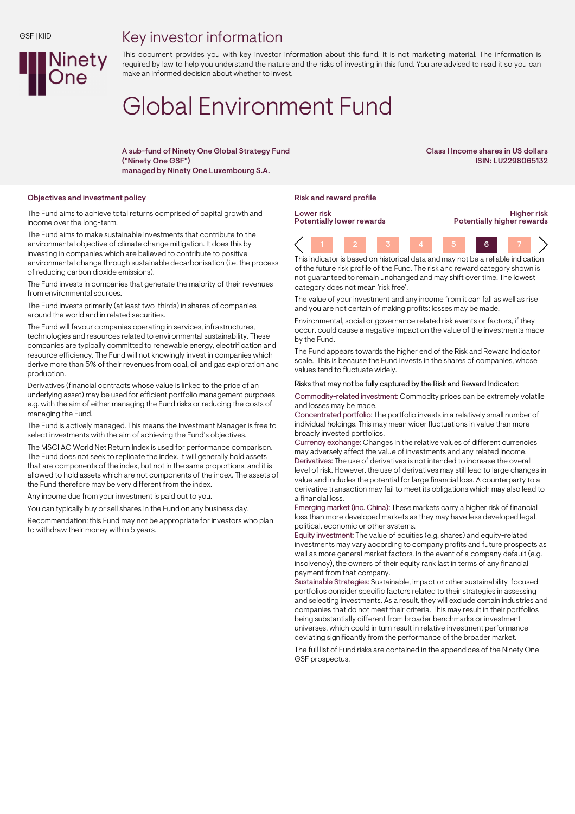## Key investor information



This document provides you with key investor information about this fund. It is not marketing material. The information is required by law to help you understand the nature and the risks of investing in this fund. You are advised to read it so you can make an informed decision about whether to invest.

# Global Environment Fund

A sub-fund of Ninety One Global Strategy Fund ("Ninety One GSF") managed by Ninety One Luxembourg S.A.

Class I Income shares in US dollars ISIN: LU2298065132

#### Objectives and investment policy and reward profile reward profile reward profile

The Fund aims to achieve total returns comprised of capital growth and income over the long-term.

The Fund aims to make sustainable investments that contribute to the environmental objective of climate change mitigation. It does this by investing in companies which are believed to contribute to positive environmental change through sustainable decarbonisation (i.e. the process of reducing carbon dioxide emissions).

The Fund invests in companies that generate the majority of their revenues from environmental sources.

The Fund invests primarily (at least two-thirds) in shares of companies around the world and in related securities.

The Fund will favour companies operating in services, infrastructures, technologies and resources related to environmental sustainability. These companies are typically committed to renewable energy, electrification and resource efficiency. The Fund will not knowingly invest in companies which derive more than 5% of their revenues from coal, oil and gas exploration and production.

Derivatives (financial contracts whose value is linked to the price of an underlying asset) may be used for efficient portfolio management purposes e.g. with the aim of either managing the Fund risks or reducing the costs of managing the Fund.

The Fund is actively managed. This means the Investment Manager is free to select investments with the aim of achieving the Fund's objectives.

The MSCI AC World Net Return Index is used for performance comparison. The Fund does not seek to replicate the index. It will generally hold assets that are components of the index, but not in the same proportions, and it is allowed to hold assets which are not components of the index. The assets of the Fund therefore may be very different from the index.

Any income due from your investment is paid out to you.

You can typically buy or sell shares in the Fund on any business day.

Recommendation: this Fund may not be appropriate for investors who plan to withdraw their money within 5 years.

Lower risk Potentially lower rewards

Higher risk Potentially higher rewards

1 2 3 4 5 6 7 This indicator is based on historical data and may not be a reliable indication

of the future risk profile of the Fund. The risk and reward category shown is not guaranteed to remain unchanged and may shift over time. The lowest category does not mean 'risk free'.

The value of your investment and any income from it can fall as well as rise and you are not certain of making profits; losses may be made.

Environmental, social or governance related risk events or factors, if they occur, could cause a negative impact on the value of the investments made by the Fund.

The Fund appears towards the higher end of the Risk and Reward Indicator scale. This is because the Fund invests in the shares of companies, whose values tend to fluctuate widely.

#### Risks that may not be fully captured by the Risk and Reward Indicator:

Commodity-related investment: Commodity prices can be extremely volatile and losses may be made.

Concentrated portfolio: The portfolio invests in a relatively small number of individual holdings. This may mean wider fluctuations in value than more broadly invested portfolios.

Currency exchange: Changes in the relative values of different currencies may adversely affect the value of investments and any related income. Derivatives: The use of derivatives is not intended to increase the overall level of risk. However, the use of derivatives may still lead to large changes in value and includes the potential for large financial loss. A counterparty to a derivative transaction may fail to meet its obligations which may also lead to a financial loss.

Emerging market (inc. China): These markets carry a higher risk of financial loss than more developed markets as they may have less developed legal, political, economic or other systems.

Equity investment: The value of equities (e.g. shares) and equity-related investments may vary according to company profits and future prospects as well as more general market factors. In the event of a company default (e.g. insolvency), the owners of their equity rank last in terms of any financial payment from that company.

Sustainable Strategies: Sustainable, impact or other sustainability-focused portfolios consider specific factors related to their strategies in assessing and selecting investments. As a result, they will exclude certain industries and companies that do not meet their criteria. This may result in their portfolios being substantially different from broader benchmarks or investment universes, which could in turn result in relative investment performance deviating significantly from the performance of the broader market.

The full list of Fund risks are contained in the appendices of the Ninety One GSF prospectus.